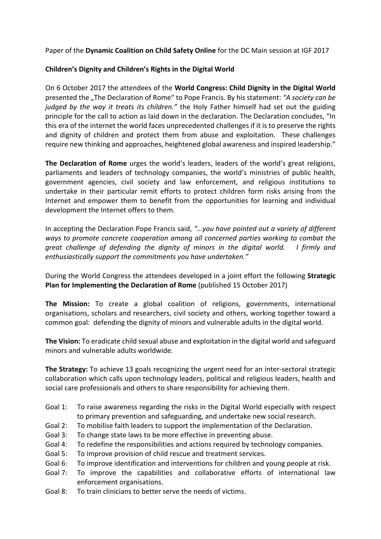Paper of the **Dynamic Coalition on Child Safety Online** for the DC Main session at IGF 2017

## **Children's Dignity and Children's Rights in the Digital World**

On 6 October 2017 the attendees of the **World Congress: Child Dignity in the Digital World** presented the "The Declaration of Rome" to Pope Francis. By his statement: "A society can be *judged* by the way it treats its children." the Holy Father himself had set out the guiding principle for the call to action as laid down in the declaration. The Declaration concludes, "In this era of the internet the world faces unprecedented challenges if it is to preserve the rights and dignity of children and protect them from abuse and exploitation. These challenges require new thinking and approaches, heightened global awareness and inspired leadership."

**The Declaration of Rome** urges the world's leaders, leaders of the world's great religions, parliaments and leaders of technology companies, the world's ministries of public health, government agencies, civil society and law enforcement, and religious institutions to undertake in their particular remit efforts to protect children form risks arising from the Internet and empower them to benefit from the opportunities for learning and individual development the Internet offers to them.

In accepting the Declaration Pope Francis said, "...you have pointed out a variety of different ways to promote concrete cooperation among all concerned parties working to combat the *great* challenge of defending the dignity of minors in the digital world. I firmly and *enthusiastically support the commitments you have undertaken."* 

During the World Congress the attendees developed in a joint effort the following **Strategic Plan for Implementing the Declaration of Rome** (published 15 October 2017)

**The Mission:** To create a global coalition of religions, governments, international organisations, scholars and researchers, civil society and others, working together toward a common goal: defending the dignity of minors and vulnerable adults in the digital world.

**The Vision:** To eradicate child sexual abuse and exploitation in the digital world and safeguard minors and vulnerable adults worldwide.

**The Strategy:** To achieve 13 goals recognizing the urgent need for an inter-sectoral strategic collaboration which calls upon technology leaders, political and religious leaders, health and social care professionals and others to share responsibility for achieving them.

- Goal 1: To raise awareness regarding the risks in the Digital World especially with respect to primary prevention and safeguarding, and undertake new social research.
- Goal 2: To mobilise faith leaders to support the implementation of the Declaration.
- Goal 3: To change state laws to be more effective in preventing abuse.
- Goal 4: To redefine the responsibilities and actions required by technology companies.
- Goal 5: To improve provision of child rescue and treatment services.
- Goal 6: To improve identification and interventions for children and young people at risk.
- Goal 7: To improve the capabilities and collaborative efforts of international law enforcement organisations.
- Goal 8: To train clinicians to better serve the needs of victims.